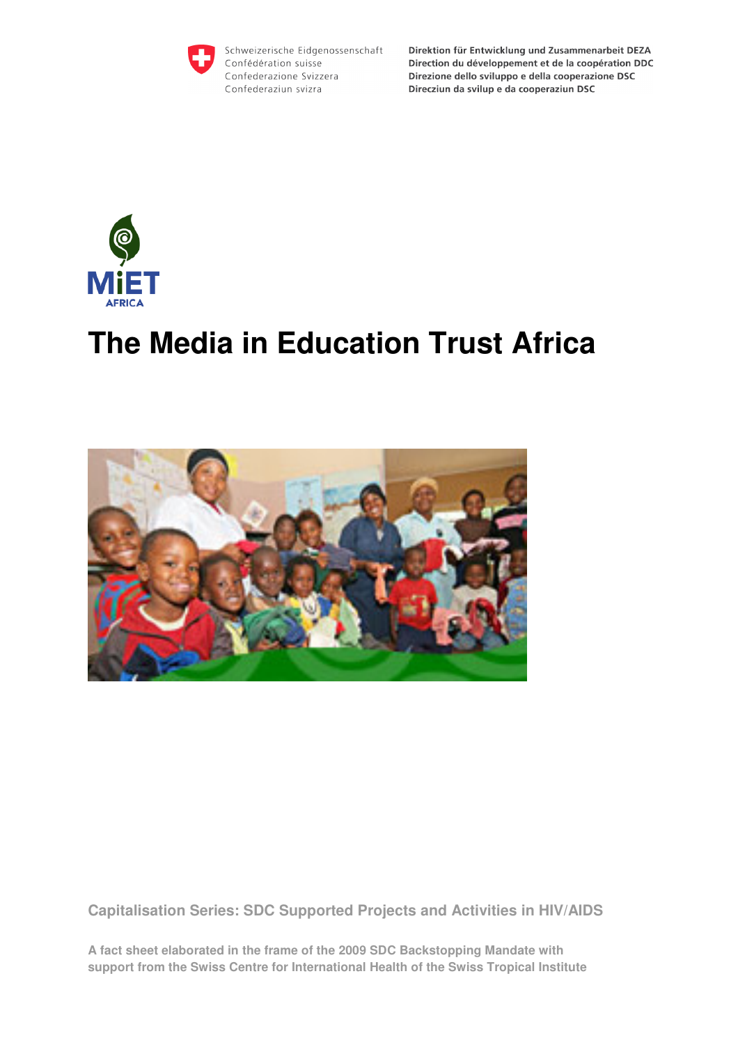

Schweizerische Eidgenossenschaft Confédération suisse Confederazione Svizzera Confederaziun svizra

Direktion für Entwicklung und Zusammenarbeit DEZA Direction du développement et de la coopération DDC Direzione dello sviluppo e della cooperazione DSC Direcziun da svilup e da cooperaziun DSC



# **The Media in Education Trust Africa**



**Capitalisation Series: SDC Supported Projects and Activities in HIV/AIDS** 

**A fact sheet elaborated in the frame of the 2009 SDC Backstopping Mandate with support from the Swiss Centre for International Health of the Swiss Tropical Institute**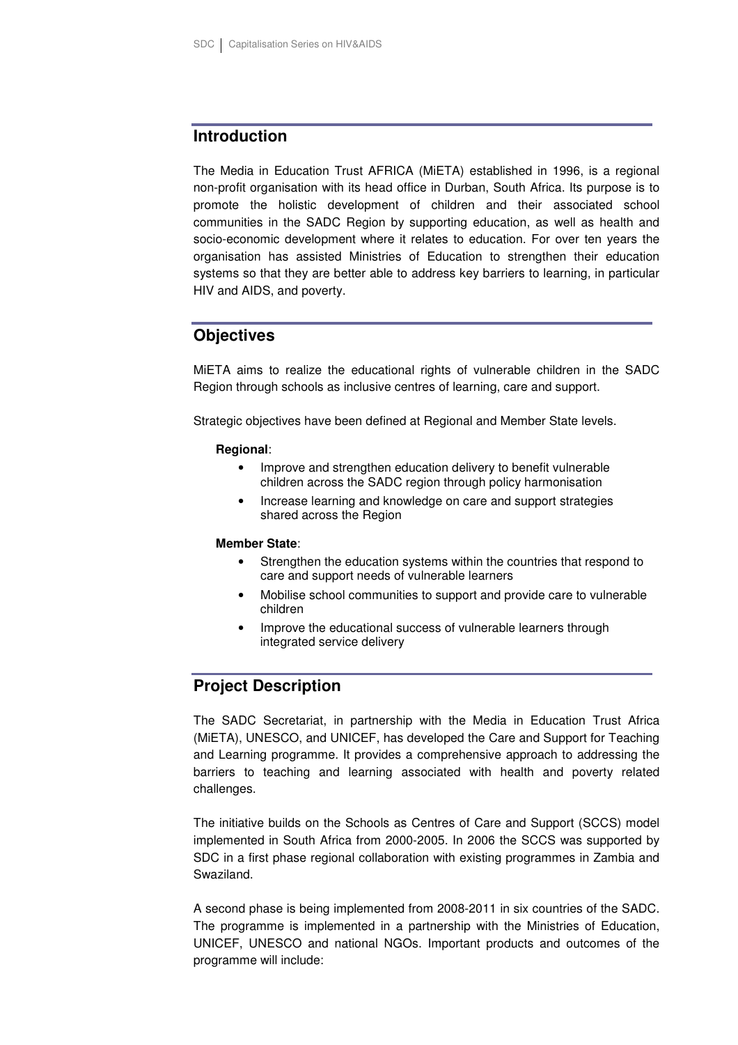# **Introduction**

The Media in Education Trust AFRICA (MiETA) established in 1996, is a regional non-profit organisation with its head office in Durban, South Africa. Its purpose is to promote the holistic development of children and their associated school communities in the SADC Region by supporting education, as well as health and socio-economic development where it relates to education. For over ten years the organisation has assisted Ministries of Education to strengthen their education systems so that they are better able to address key barriers to learning, in particular HIV and AIDS, and poverty.

# **Objectives**

MiETA aims to realize the educational rights of vulnerable children in the SADC Region through schools as inclusive centres of learning, care and support.

Strategic objectives have been defined at Regional and Member State levels.

#### **Regional**:

- Improve and strengthen education delivery to benefit vulnerable children across the SADC region through policy harmonisation
- Increase learning and knowledge on care and support strategies shared across the Region

#### **Member State**:

- Strengthen the education systems within the countries that respond to care and support needs of vulnerable learners
- Mobilise school communities to support and provide care to vulnerable children
- Improve the educational success of vulnerable learners through integrated service delivery

# **Project Description**

The SADC Secretariat, in partnership with the Media in Education Trust Africa (MiETA), UNESCO, and UNICEF, has developed the Care and Support for Teaching and Learning programme. It provides a comprehensive approach to addressing the barriers to teaching and learning associated with health and poverty related challenges.

The initiative builds on the Schools as Centres of Care and Support (SCCS) model implemented in South Africa from 2000-2005. In 2006 the SCCS was supported by SDC in a first phase regional collaboration with existing programmes in Zambia and Swaziland.

A second phase is being implemented from 2008-2011 in six countries of the SADC. The programme is implemented in a partnership with the Ministries of Education, UNICEF, UNESCO and national NGOs. Important products and outcomes of the programme will include: